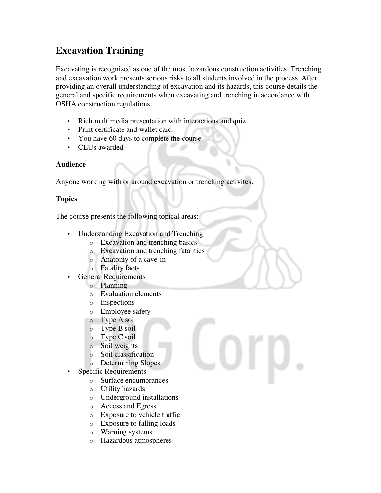## **Excavation Training**

Excavating is recognized as one of the most hazardous construction activities. Trenching and excavation work presents serious risks to all students involved in the process. After providing an overall understanding of excavation and its hazards, this course details the general and specific requirements when excavating and trenching in accordance with OSHA construction regulations.

- Rich multimedia presentation with interactions and quiz
- Print certificate and wallet card
- You have 60 days to complete the course
- CEUs awarded

## **Audience**

Anyone working with or around excavation or trenching activites.

## **Topics**

The course presents the following topical areas:

- Understanding Excavation and Trenching
	- o Excavation and trenching basics
	- o Excavation and trenching fatalities
	- o Anatomy of a cave-in
	- o Fatality facts
- General Requirements
	- o Planning
	- o Evaluation elements
	- o Inspections
	- o Employee safety
	- o Type A soil
	- o Type B soil
	- o Type C soil
	- o Soil weights
	- o Soil classification
	- o Determining Slopes
- Specific Requirements
	- o Surface encumbrances
	- o Utility hazards
	- o Underground installations
	- o Access and Egress
	- o Exposure to vehicle traffic
	- o Exposure to falling loads
	- o Warning systems
	- o Hazardous atmospheres